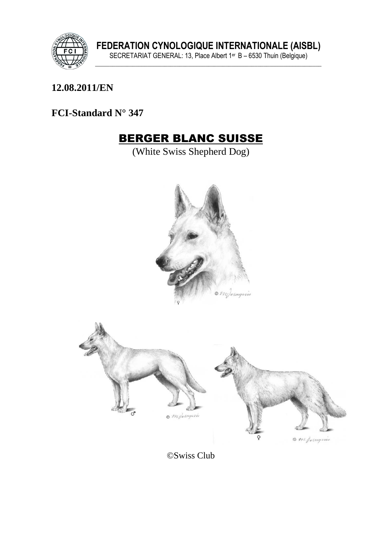

#### 12.08.2011/EN

#### FCI-Standard N° 347

# **BERGER BLANC SUISSE**

(White Swiss Shepherd Dog)



©Swiss Club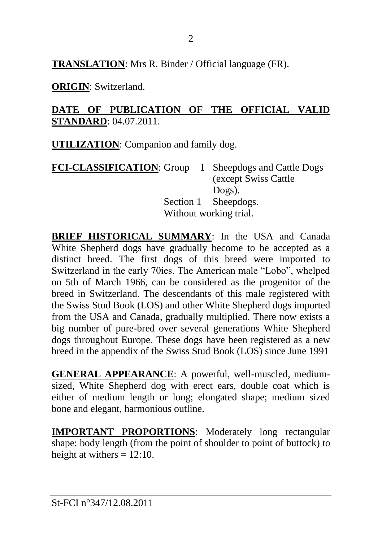**TRANSLATION**: Mrs R. Binder / Official language (FR).

**ORIGIN**: Switzerland.

#### **DATE OF PUBLICATION OF THE OFFICIAL VALID STANDARD**: 04.07.2011.

**UTILIZATION**: Companion and family dog.

| FCI-CLASSIFICATION: Group 1 Sheepdogs and Cattle Dogs |                        |                       |
|-------------------------------------------------------|------------------------|-----------------------|
|                                                       |                        | (except Swiss Cattle) |
|                                                       |                        | Dogs).                |
|                                                       |                        | Section 1 Sheepdogs.  |
|                                                       | Without working trial. |                       |

**BRIEF HISTORICAL SUMMARY**: In the USA and Canada White Shepherd dogs have gradually become to be accepted as a distinct breed. The first dogs of this breed were imported to Switzerland in the early 70ies. The American male "Lobo", whelped on 5th of March 1966, can be considered as the progenitor of the breed in Switzerland. The descendants of this male registered with the Swiss Stud Book (LOS) and other White Shepherd dogs imported from the USA and Canada, gradually multiplied. There now exists a big number of pure-bred over several generations White Shepherd dogs throughout Europe. These dogs have been registered as a new breed in the appendix of the Swiss Stud Book (LOS) since June 1991

**GENERAL APPEARANCE**: A powerful, well-muscled, mediumsized, White Shepherd dog with erect ears, double coat which is either of medium length or long; elongated shape; medium sized bone and elegant, harmonious outline.

**IMPORTANT PROPORTIONS**: Moderately long rectangular shape: body length (from the point of shoulder to point of buttock) to height at withers  $= 12:10$ .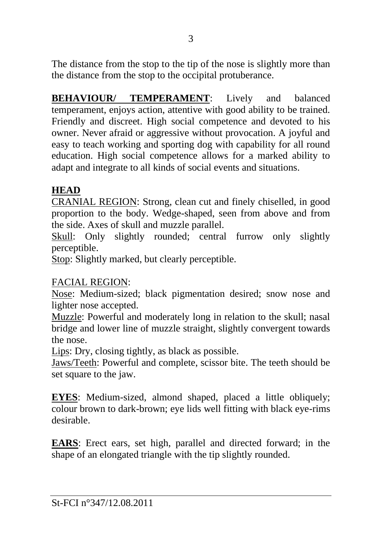The distance from the stop to the tip of the nose is slightly more than the distance from the stop to the occipital protuberance.

**BEHAVIOUR/ TEMPERAMENT**: Lively and balanced temperament, enjoys action, attentive with good ability to be trained. Friendly and discreet. High social competence and devoted to his owner. Never afraid or aggressive without provocation. A joyful and easy to teach working and sporting dog with capability for all round education. High social competence allows for a marked ability to adapt and integrate to all kinds of social events and situations.

#### **HEAD**

CRANIAL REGION: Strong, clean cut and finely chiselled, in good proportion to the body. Wedge-shaped, seen from above and from the side. Axes of skull and muzzle parallel.

Skull: Only slightly rounded; central furrow only slightly perceptible.

Stop: Slightly marked, but clearly perceptible.

# FACIAL REGION:

Nose: Medium-sized; black pigmentation desired; snow nose and lighter nose accepted.

Muzzle: Powerful and moderately long in relation to the skull; nasal bridge and lower line of muzzle straight, slightly convergent towards the nose.

Lips: Dry, closing tightly, as black as possible.

Jaws/Teeth: Powerful and complete, scissor bite. The teeth should be set square to the jaw.

**EYES**: Medium-sized, almond shaped, placed a little obliquely; colour brown to dark-brown; eye lids well fitting with black eye-rims desirable.

**EARS**: Erect ears, set high, parallel and directed forward; in the shape of an elongated triangle with the tip slightly rounded.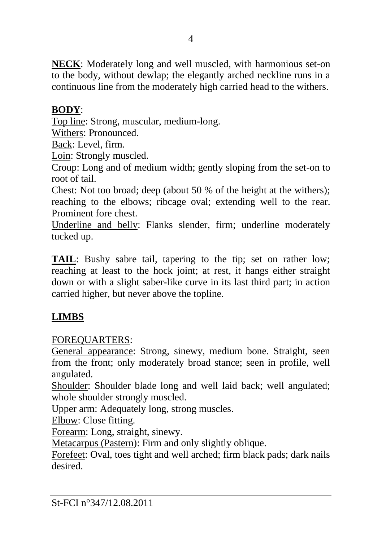**NECK**: Moderately long and well muscled, with harmonious set-on to the body, without dewlap; the elegantly arched neckline runs in a continuous line from the moderately high carried head to the withers.

# **BODY**:

Top line: Strong, muscular, medium-long.

Withers: Pronounced.

Back: Level, firm.

Loin: Strongly muscled.

Croup: Long and of medium width; gently sloping from the set-on to root of tail.

Chest: Not too broad; deep (about 50 % of the height at the withers); reaching to the elbows; ribcage oval; extending well to the rear. Prominent fore chest.

Underline and belly: Flanks slender, firm; underline moderately tucked up.

**TAIL**: Bushy sabre tail, tapering to the tip; set on rather low; reaching at least to the hock joint; at rest, it hangs either straight down or with a slight saber-like curve in its last third part; in action carried higher, but never above the topline.

# **LIMBS**

# FOREQUARTERS:

General appearance: Strong, sinewy, medium bone. Straight, seen from the front; only moderately broad stance; seen in profile, well angulated.

Shoulder: Shoulder blade long and well laid back; well angulated; whole shoulder strongly muscled.

Upper arm: Adequately long, strong muscles.

Elbow: Close fitting.

Forearm: Long, straight, sinewy.

Metacarpus (Pastern): Firm and only slightly oblique.

Forefeet: Oval, toes tight and well arched; firm black pads; dark nails desired.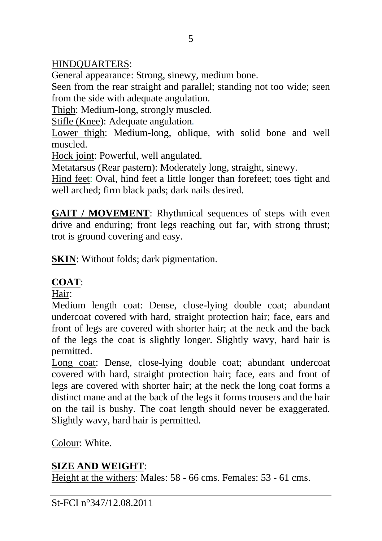# HINDQUARTERS:

General appearance: Strong, sinewy, medium bone.

Seen from the rear straight and parallel; standing not too wide; seen from the side with adequate angulation.

Thigh: Medium-long, strongly muscled.

Stifle (Knee): Adequate angulation*.* 

Lower thigh: Medium-long, oblique, with solid bone and well muscled.

Hock joint: Powerful, well angulated.

Metatarsus (Rear pastern): Moderately long, straight, sinewy.

Hind feet: Oval, hind feet a little longer than forefeet; toes tight and well arched; firm black pads; dark nails desired.

**GAIT / MOVEMENT:** Rhythmical sequences of steps with even drive and enduring; front legs reaching out far, with strong thrust; trot is ground covering and easy.

**SKIN:** Without folds; dark pigmentation.

#### **COAT**:

Hair:

Medium length coat: Dense, close-lying double coat; abundant undercoat covered with hard, straight protection hair; face, ears and front of legs are covered with shorter hair; at the neck and the back of the legs the coat is slightly longer. Slightly wavy, hard hair is permitted.

Long coat: Dense, close-lying double coat; abundant undercoat covered with hard, straight protection hair; face, ears and front of legs are covered with shorter hair; at the neck the long coat forms a distinct mane and at the back of the legs it forms trousers and the hair on the tail is bushy. The coat length should never be exaggerated. Slightly wavy, hard hair is permitted.

Colour: White.

# **SIZE AND WEIGHT**:

Height at the withers: Males: 58 - 66 cms. Females: 53 - 61 cms.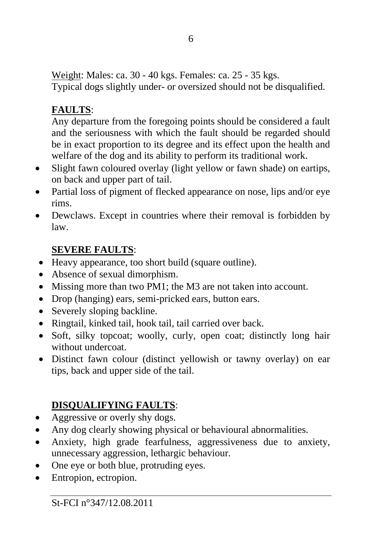Weight: Males: ca. 30 - 40 kgs. Females: ca. 25 - 35 kgs. Typical dogs slightly under- or oversized should not be disqualified.

# **FAULTS**:

Any departure from the foregoing points should be considered a fault and the seriousness with which the fault should be regarded should be in exact proportion to its degree and its effect upon the health and welfare of the dog and its ability to perform its traditional work.

- Slight fawn coloured overlay (light yellow or fawn shade) on eartips, on back and upper part of tail.
- Partial loss of pigment of flecked appearance on nose, lips and/or eye rims.
- Dewclaws. Except in countries where their removal is forbidden by law.

# **SEVERE FAULTS**:

- Heavy appearance, too short build (square outline).
- Absence of sexual dimorphism.
- Missing more than two PM1; the M3 are not taken into account.
- Drop (hanging) ears, semi-pricked ears, button ears.
- Severely sloping backline.
- Ringtail, kinked tail, hook tail, tail carried over back.
- Soft, silky topcoat; woolly, curly, open coat; distinctly long hair without undercoat.
- Distinct fawn colour (distinct yellowish or tawny overlay) on ear tips, back and upper side of the tail.

# **DISQUALIFYING FAULTS**:

- Aggressive or overly shy dogs.
- Any dog clearly showing physical or behavioural abnormalities.
- Anxiety, high grade fearfulness, aggressiveness due to anxiety, unnecessary aggression, lethargic behaviour.
- One eye or both blue, protruding eyes.
- Entropion, ectropion.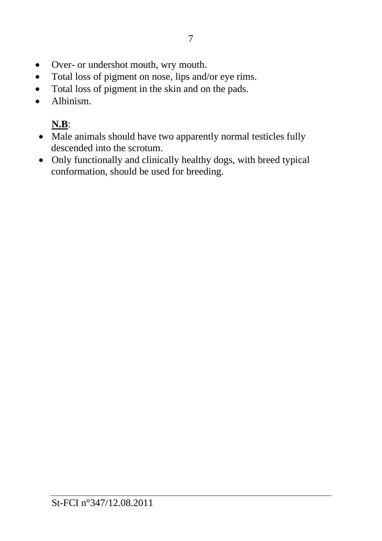- Over- or undershot mouth, wry mouth.
- Total loss of pigment on nose, lips and/or eye rims.
- Total loss of pigment in the skin and on the pads.
- Albinism.

# **N.B**:

- Male animals should have two apparently normal testicles fully descended into the scrotum.
- Only functionally and clinically healthy dogs, with breed typical conformation, should be used for breeding.